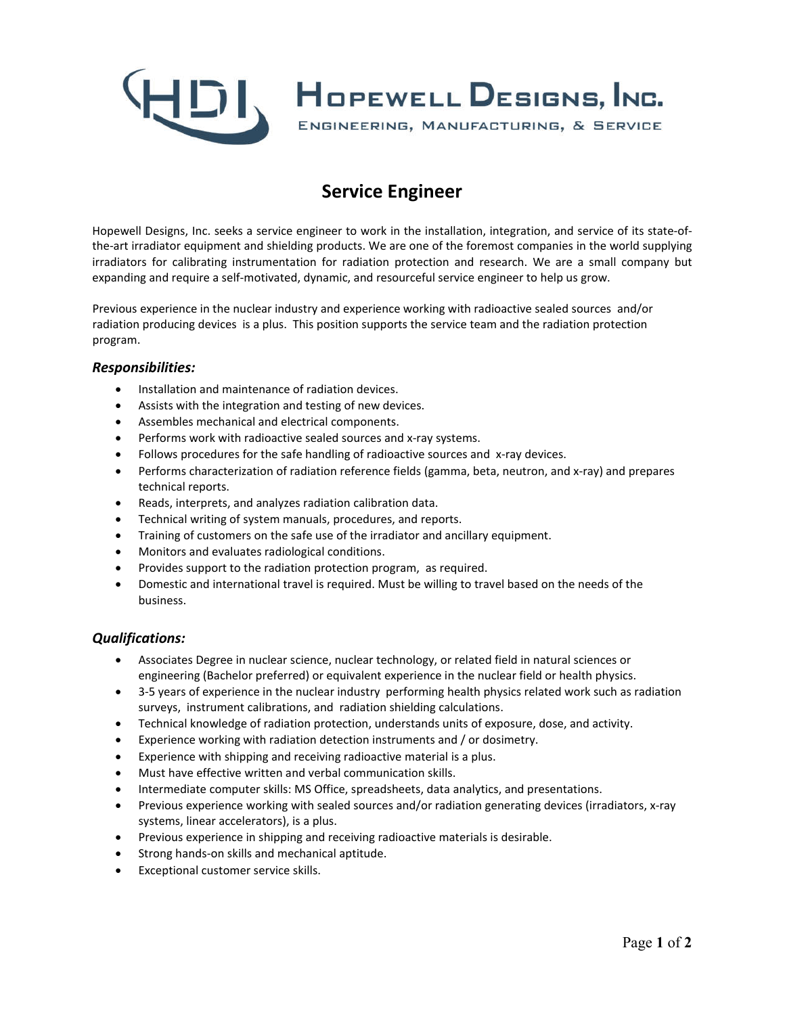

# **Service Engineer**

Hopewell Designs, Inc. seeks a service engineer to work in the installation, integration, and service of its state-ofthe-art irradiator equipment and shielding products. We are one of the foremost companies in the world supplying irradiators for calibrating instrumentation for radiation protection and research. We are a small company but expanding and require a self-motivated, dynamic, and resourceful service engineer to help us grow.

Previous experience in the nuclear industry and experience working with radioactive sealed sources and/or radiation producing devices is a plus. This position supports the service team and the radiation protection program.

#### *Responsibilities:*

- Installation and maintenance of radiation devices.
- Assists with the integration and testing of new devices.
- Assembles mechanical and electrical components.
- Performs work with radioactive sealed sources and x-ray systems.
- Follows procedures for the safe handling of radioactive sources and x-ray devices.
- Performs characterization of radiation reference fields (gamma, beta, neutron, and x-ray) and prepares technical reports.
- Reads, interprets, and analyzes radiation calibration data.
- Technical writing of system manuals, procedures, and reports.
- Training of customers on the safe use of the irradiator and ancillary equipment.
- Monitors and evaluates radiological conditions.
- Provides support to the radiation protection program, as required.
- Domestic and international travel is required. Must be willing to travel based on the needs of the business.

#### *Qualifications:*

- Associates Degree in nuclear science, nuclear technology, or related field in natural sciences or engineering (Bachelor preferred) or equivalent experience in the nuclear field or health physics.
- 3-5 years of experience in the nuclear industry performing health physics related work such as radiation surveys, instrument calibrations, and radiation shielding calculations.
- Technical knowledge of radiation protection, understands units of exposure, dose, and activity.
- Experience working with radiation detection instruments and / or dosimetry.
- Experience with shipping and receiving radioactive material is a plus.
- Must have effective written and verbal communication skills.
- Intermediate computer skills: MS Office, spreadsheets, data analytics, and presentations.
- Previous experience working with sealed sources and/or radiation generating devices (irradiators, x-ray systems, linear accelerators), is a plus.
- Previous experience in shipping and receiving radioactive materials is desirable.
- Strong hands-on skills and mechanical aptitude.
- Exceptional customer service skills.